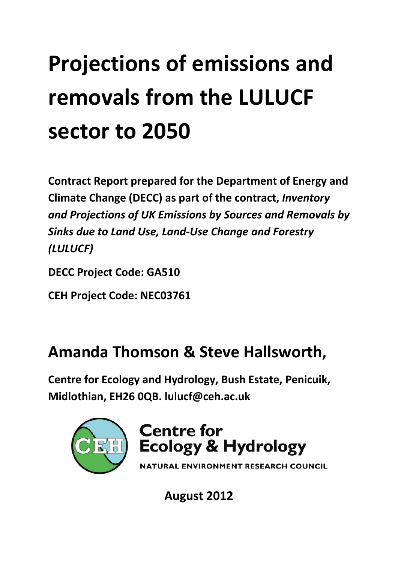# **Projections of emissions and removals from the LULUCF sector to 2050**

**Contract Report prepared for the Department of Energy and Climate Change (DECC) as part of the contract,** *Inventory and Projections of UK Emissions by Sources and Removals by Sinks due to Land Use, Land-Use Change and Forestry (LULUCF)*

**DECC Project Code: GA510**

**CEH Project Code: NEC03761**

## **Amanda Thomson & Steve Hallsworth,**

**Centre for Ecology and Hydrology, Bush Estate, Penicuik, Midlothian, EH26 0QB. [lulucf@ceh.ac.uk](mailto:lulucf@ceh.ac.uk)**



## **Centre for Ecology & Hydrology**

NATURAL ENVIRONMENT RESEARCH COUNCIL

**August 2012**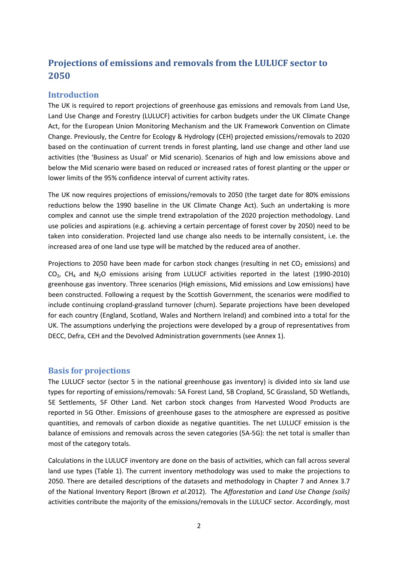### **Projections of emissions and removals from the LULUCF sector to 2050**

#### **Introduction**

The UK is required to report projections of greenhouse gas emissions and removals from Land Use, Land Use Change and Forestry (LULUCF) activities for carbon budgets under the UK Climate Change Act, for the European Union Monitoring Mechanism and the UK Framework Convention on Climate Change. Previously, the Centre for Ecology & Hydrology (CEH) projected emissions/removals to 2020 based on the continuation of current trends in forest planting, land use change and other land use activities (the 'Business as Usual' or Mid scenario). Scenarios of high and low emissions above and below the Mid scenario were based on reduced or increased rates of forest planting or the upper or lower limits of the 95% confidence interval of current activity rates.

The UK now requires projections of emissions/removals to 2050 (the target date for 80% emissions reductions below the 1990 baseline in the UK Climate Change Act). Such an undertaking is more complex and cannot use the simple trend extrapolation of the 2020 projection methodology. Land use policies and aspirations (e.g. achieving a certain percentage of forest cover by 2050) need to be taken into consideration. Projected land use change also needs to be internally consistent, i.e. the increased area of one land use type will be matched by the reduced area of another.

Projections to 2050 have been made for carbon stock changes (resulting in net  $CO<sub>2</sub>$  emissions) and CO2, CH4 and N2O emissions arising from LULUCF activities reported in the latest (1990-2010) greenhouse gas inventory. Three scenarios (High emissions, Mid emissions and Low emissions) have been constructed. Following a request by the Scottish Government, the scenarios were modified to include continuing cropland-grassland turnover (churn). Separate projections have been developed for each country (England, Scotland, Wales and Northern Ireland) and combined into a total for the UK. The assumptions underlying the projections were developed by a group of representatives from DECC, Defra, CEH and the Devolved Administration governments (see Annex 1).

#### **Basis for projections**

The LULUCF sector (sector 5 in the national greenhouse gas inventory) is divided into six land use types for reporting of emissions/removals: 5A Forest Land, 5B Cropland, 5C Grassland, 5D Wetlands, 5E Settlements, 5F Other Land. Net carbon stock changes from Harvested Wood Products are reported in 5G Other. Emissions of greenhouse gases to the atmosphere are expressed as positive quantities, and removals of carbon dioxide as negative quantities. The net LULUCF emission is the balance of emissions and removals across the seven categories (5A-5G): the net total is smaller than most of the category totals.

Calculations in the LULUCF inventory are done on the basis of activities, which can fall across several land use types (Table 1). The current inventory methodology was used to make the projections to 2050. There are detailed descriptions of the datasets and methodology in Chapter 7 and Annex 3.7 of the National Inventory Report (Brown *et al.*2012). The *Afforestation* and *Land Use Change (soils)* activities contribute the majority of the emissions/removals in the LULUCF sector. Accordingly, most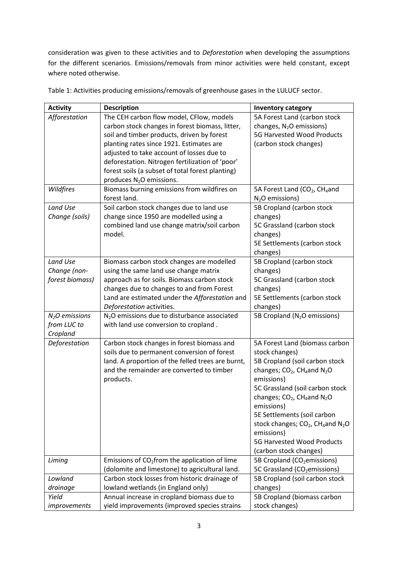consideration was given to these activities and to *Deforestation* when developing the assumptions for the different scenarios. Emissions/removals from minor activities were held constant, except where noted otherwise.

| <b>Activity</b> | <b>Description</b>                                       | <b>Inventory category</b>                                             |
|-----------------|----------------------------------------------------------|-----------------------------------------------------------------------|
| Afforestation   | The CEH carbon flow model, CFlow, models                 | 5A Forest Land (carbon stock                                          |
|                 | carbon stock changes in forest biomass, litter,          | changes, N <sub>2</sub> O emissions)                                  |
|                 | soil and timber products, driven by forest               | 5G Harvested Wood Products                                            |
|                 | planting rates since 1921. Estimates are                 | (carbon stock changes)                                                |
|                 | adjusted to take account of losses due to                |                                                                       |
|                 | deforestation. Nitrogen fertilization of 'poor'          |                                                                       |
|                 | forest soils (a subset of total forest planting)         |                                                                       |
|                 | produces N <sub>2</sub> O emissions.                     |                                                                       |
| Wildfires       | Biomass burning emissions from wildfires on              | 5A Forest Land (CO <sub>2</sub> , CH <sub>4</sub> and                 |
|                 | forest land.                                             | $N2O$ emissions)                                                      |
| Land Use        | Soil carbon stock changes due to land use                | 5B Cropland (carbon stock                                             |
| Change (soils)  | change since 1950 are modelled using a                   | changes)                                                              |
|                 | combined land use change matrix/soil carbon              | 5C Grassland (carbon stock                                            |
|                 | model.                                                   | changes)                                                              |
|                 |                                                          | 5E Settlements (carbon stock                                          |
|                 |                                                          | changes)                                                              |
| Land Use        | Biomass carbon stock changes are modelled                | 5B Cropland (carbon stock                                             |
| Change (non-    | using the same land use change matrix                    | changes)                                                              |
| forest biomass) | approach as for soils. Biomass carbon stock              | 5C Grassland (carbon stock                                            |
|                 | changes due to changes to and from Forest                | changes)                                                              |
|                 | Land are estimated under the Afforestation and           | 5E Settlements (carbon stock                                          |
|                 | Deforestation activities.                                | changes)                                                              |
| $N2O$ emissions | N <sub>2</sub> O emissions due to disturbance associated | 5B Cropland (N <sub>2</sub> O emissions)                              |
| from LUC to     | with land use conversion to cropland.                    |                                                                       |
| Cropland        |                                                          |                                                                       |
| Deforestation   | Carbon stock changes in forest biomass and               | 5A Forest Land (biomass carbon                                        |
|                 | soils due to permanent conversion of forest              | stock changes)                                                        |
|                 | land. A proportion of the felled trees are burnt,        | 5B Cropland (soil carbon stock                                        |
|                 | and the remainder are converted to timber                | changes; CO <sub>2</sub> , CH <sub>4</sub> and N <sub>2</sub> O       |
|                 | products.                                                | emissions)                                                            |
|                 |                                                          | 5C Grassland (soil carbon stock                                       |
|                 |                                                          | changes; CO <sub>2</sub> , CH <sub>4</sub> and N <sub>2</sub> O       |
|                 |                                                          | emissions)                                                            |
|                 |                                                          | 5E Settlements (soil carbon                                           |
|                 |                                                          | stock changes; CO <sub>2</sub> , CH <sub>4</sub> and N <sub>2</sub> O |
|                 |                                                          | emissions)                                                            |
|                 |                                                          | <b>5G Harvested Wood Products</b>                                     |
|                 |                                                          | (carbon stock changes)                                                |
| Liming          | Emissions of $CO2$ from the application of lime          | 5B Cropland (CO <sub>2</sub> emissions)                               |
|                 | (dolomite and limestone) to agricultural land.           | 5C Grassland (CO <sub>2</sub> emissions)                              |
| Lowland         | Carbon stock losses from historic drainage of            | 5B Cropland (soil carbon stock                                        |
| drainage        | lowland wetlands (in England only)                       | changes)                                                              |
| Yield           | Annual increase in cropland biomass due to               | 5B Cropland (biomass carbon                                           |
| improvements    | yield improvements (improved species strains             | stock changes)                                                        |

Table 1: Activities producing emissions/removals of greenhouse gases in the LULUCF sector.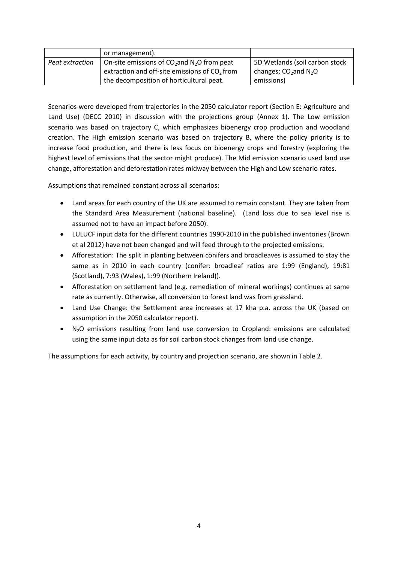|                 | or management).                                           |                                     |
|-----------------|-----------------------------------------------------------|-------------------------------------|
| Peat extraction | On-site emissions of $CO2$ and N <sub>2</sub> O from peat | 5D Wetlands (soil carbon stock      |
|                 | extraction and off-site emissions of $CO2$ from           | changes; $CO2$ and N <sub>2</sub> O |
|                 | the decomposition of horticultural peat.                  | emissions)                          |

Scenarios were developed from trajectories in the 2050 calculator report (Section E: Agriculture and Land Use) (DECC 2010) in discussion with the projections group (Annex 1). The Low emission scenario was based on trajectory C, which emphasizes bioenergy crop production and woodland creation. The High emission scenario was based on trajectory B, where the policy priority is to increase food production, and there is less focus on bioenergy crops and forestry (exploring the highest level of emissions that the sector might produce). The Mid emission scenario used land use change, afforestation and deforestation rates midway between the High and Low scenario rates.

Assumptions that remained constant across all scenarios:

- Land areas for each country of the UK are assumed to remain constant. They are taken from the Standard Area Measurement (national baseline). (Land loss due to sea level rise is assumed not to have an impact before 2050).
- LULUCF input data for the different countries 1990-2010 in the published inventories (Brown et al 2012) have not been changed and will feed through to the projected emissions.
- Afforestation: The split in planting between conifers and broadleaves is assumed to stay the same as in 2010 in each country (conifer: broadleaf ratios are 1:99 (England), 19:81 (Scotland), 7:93 (Wales), 1:99 (Northern Ireland)).
- Afforestation on settlement land (e.g. remediation of mineral workings) continues at same rate as currently. Otherwise, all conversion to forest land was from grassland.
- Land Use Change: the Settlement area increases at 17 kha p.a. across the UK (based on assumption in the 2050 calculator report).
- $N<sub>2</sub>O$  emissions resulting from land use conversion to Cropland: emissions are calculated using the same input data as for soil carbon stock changes from land use change.

The assumptions for each activity, by country and projection scenario, are shown in Table 2.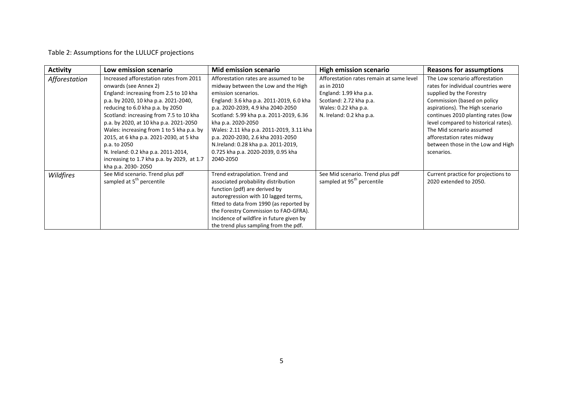#### Table 2: Assumptions for the LULUCF projections

| <b>Activity</b> | Low emission scenario                      | Mid emission scenario                    | <b>High emission scenario</b>            | <b>Reasons for assumptions</b>       |
|-----------------|--------------------------------------------|------------------------------------------|------------------------------------------|--------------------------------------|
| Afforestation   | Increased afforestation rates from 2011    | Afforestation rates are assumed to be    | Afforestation rates remain at same level | The Low scenario afforestation       |
|                 | onwards (see Annex 2)                      | midway between the Low and the High      | as in 2010                               | rates for individual countries were  |
|                 | England: increasing from 2.5 to 10 kha     | emission scenarios.                      | England: 1.99 kha p.a.                   | supplied by the Forestry             |
|                 | p.a. by 2020, 10 kha p.a. 2021-2040,       | England: 3.6 kha p.a. 2011-2019, 6.0 kha | Scotland: 2.72 kha p.a.                  | Commission (based on policy          |
|                 | reducing to 6.0 kha p.a. by 2050           | p.a. 2020-2039, 4.9 kha 2040-2050        | Wales: 0.22 kha p.a.                     | aspirations). The High scenario      |
|                 | Scotland: increasing from 7.5 to 10 kha    | Scotland: 5.99 kha p.a. 2011-2019, 6.36  | N. Ireland: 0.2 kha p.a.                 | continues 2010 planting rates (low   |
|                 | p.a. by 2020, at 10 kha p.a. 2021-2050     | kha p.a. 2020-2050                       |                                          | level compared to historical rates). |
|                 | Wales: increasing from 1 to 5 kha p.a. by  | Wales: 2.11 kha p.a. 2011-2019, 3.11 kha |                                          | The Mid scenario assumed             |
|                 | 2015, at 6 kha p.a. 2021-2030, at 5 kha    | p.a. 2020-2030, 2.6 kha 2031-2050        |                                          | afforestation rates midway           |
|                 | p.a. to 2050                               | N.Ireland: 0.28 kha p.a. 2011-2019,      |                                          | between those in the Low and High    |
|                 | N. Ireland: 0.2 kha p.a. 2011-2014,        | 0.725 kha p.a. 2020-2039, 0.95 kha       |                                          | scenarios.                           |
|                 | increasing to 1.7 kha p.a. by 2029, at 1.7 | 2040-2050                                |                                          |                                      |
|                 | kha p.a. 2030-2050                         |                                          |                                          |                                      |
| Wildfires       | See Mid scenario. Trend plus pdf           | Trend extrapolation. Trend and           | See Mid scenario. Trend plus pdf         | Current practice for projections to  |
|                 | sampled at 5 <sup>th</sup> percentile      | associated probability distribution      | sampled at 95 <sup>th</sup> percentile   | 2020 extended to 2050.               |
|                 |                                            | function (pdf) are derived by            |                                          |                                      |
|                 |                                            | autoregression with 10 lagged terms,     |                                          |                                      |
|                 |                                            | fitted to data from 1990 (as reported by |                                          |                                      |
|                 |                                            | the Forestry Commission to FAO-GFRA).    |                                          |                                      |
|                 |                                            | Incidence of wildfire in future given by |                                          |                                      |
|                 |                                            | the trend plus sampling from the pdf.    |                                          |                                      |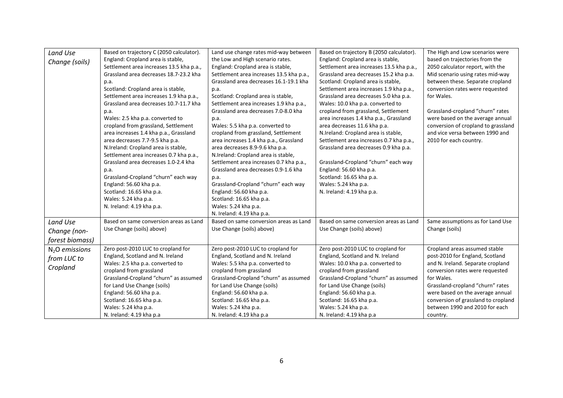| Land Use<br>Change (soils)                                    | Based on trajectory C (2050 calculator).<br>England: Cropland area is stable,<br>Settlement area increases 13.5 kha p.a.,<br>Grassland area decreases 18.7-23.2 kha<br>p.a.<br>Scotland: Cropland area is stable,<br>Settlement area increases 1.9 kha p.a.,<br>Grassland area decreases 10.7-11.7 kha<br>p.a.<br>Wales: 2.5 kha p.a. converted to<br>cropland from grassland, Settlement<br>area increases 1.4 kha p.a., Grassland<br>area decreases 7.7-9.5 kha p.a.<br>N.Ireland: Cropland area is stable,<br>Settlement area increases 0.7 kha p.a.,<br>Grassland area decreases 1.0-2.4 kha<br>p.a.<br>Grassland-Cropland "churn" each way<br>England: 56.60 kha p.a.<br>Scotland: 16.65 kha p.a. | Land use change rates mid-way between<br>the Low and High scenario rates.<br>England: Cropland area is stable,<br>Settlement area increases 13.5 kha p.a.,<br>Grassland area decreases 16.1-19.1 kha<br>p.a.<br>Scotland: Cropland area is stable,<br>Settlement area increases 1.9 kha p.a.,<br>Grassland area decreases 7.0-8.0 kha<br>p.a.<br>Wales: 5.5 kha p.a. converted to<br>cropland from grassland, Settlement<br>area increases 1.4 kha p.a., Grassland<br>area decreases 8.9-9.6 kha p.a.<br>N.Ireland: Cropland area is stable,<br>Settlement area increases 0.7 kha p.a.,<br>Grassland area decreases 0.9-1.6 kha<br>p.a.<br>Grassland-Cropland "churn" each way<br>England: 56.60 kha p.a. | Based on trajectory B (2050 calculator).<br>England: Cropland area is stable,<br>Settlement area increases 13.5 kha p.a.,<br>Grassland area decreases 15.2 kha p.a.<br>Scotland: Cropland area is stable,<br>Settlement area increases 1.9 kha p.a.,<br>Grassland area decreases 5.0 kha p.a.<br>Wales: 10.0 kha p.a. converted to<br>cropland from grassland, Settlement<br>area increases 1.4 kha p.a., Grassland<br>area decreases 11.6 kha p.a.<br>N.Ireland: Cropland area is stable,<br>Settlement area increases 0.7 kha p.a.,<br>Grassland area decreases 0.9 kha p.a.<br>Grassland-Cropland "churn" each way<br>England: 56.60 kha p.a.<br>Scotland: 16.65 kha p.a.<br>Wales: 5.24 kha p.a.<br>N. Ireland: 4.19 kha p.a. | The High and Low scenarios were<br>based on trajectories from the<br>2050 calculator report, with the<br>Mid scenario using rates mid-way<br>between these. Separate cropland<br>conversion rates were requested<br>for Wales.<br>Grassland-cropland "churn" rates<br>were based on the average annual<br>conversion of cropland to grassland<br>and vice versa between 1990 and<br>2010 for each country. |
|---------------------------------------------------------------|--------------------------------------------------------------------------------------------------------------------------------------------------------------------------------------------------------------------------------------------------------------------------------------------------------------------------------------------------------------------------------------------------------------------------------------------------------------------------------------------------------------------------------------------------------------------------------------------------------------------------------------------------------------------------------------------------------|-----------------------------------------------------------------------------------------------------------------------------------------------------------------------------------------------------------------------------------------------------------------------------------------------------------------------------------------------------------------------------------------------------------------------------------------------------------------------------------------------------------------------------------------------------------------------------------------------------------------------------------------------------------------------------------------------------------|-----------------------------------------------------------------------------------------------------------------------------------------------------------------------------------------------------------------------------------------------------------------------------------------------------------------------------------------------------------------------------------------------------------------------------------------------------------------------------------------------------------------------------------------------------------------------------------------------------------------------------------------------------------------------------------------------------------------------------------|------------------------------------------------------------------------------------------------------------------------------------------------------------------------------------------------------------------------------------------------------------------------------------------------------------------------------------------------------------------------------------------------------------|
| Land Use<br>Change (non-                                      | N. Ireland: 4.19 kha p.a.<br>Based on same conversion areas as Land<br>Use Change (soils) above)                                                                                                                                                                                                                                                                                                                                                                                                                                                                                                                                                                                                       | Wales: 5.24 kha p.a.<br>N. Ireland: 4.19 kha p.a.<br>Based on same conversion areas as Land<br>Use Change (soils) above)                                                                                                                                                                                                                                                                                                                                                                                                                                                                                                                                                                                  | Based on same conversion areas as Land<br>Use Change (soils) above)                                                                                                                                                                                                                                                                                                                                                                                                                                                                                                                                                                                                                                                               | Same assumptions as for Land Use<br>Change (soils)                                                                                                                                                                                                                                                                                                                                                         |
| forest biomass)<br>$N2O$ emissions<br>from LUC to<br>Cropland | Zero post-2010 LUC to cropland for<br>England, Scotland and N. Ireland<br>Wales: 2.5 kha p.a. converted to<br>cropland from grassland<br>Grassland-Cropland "churn" as assumed<br>for Land Use Change (soils)<br>England: 56.60 kha p.a.<br>Scotland: 16.65 kha p.a.<br>Wales: 5.24 kha p.a.<br>N. Ireland: 4.19 kha p.a                                                                                                                                                                                                                                                                                                                                                                               | Zero post-2010 LUC to cropland for<br>England, Scotland and N. Ireland<br>Wales: 5.5 kha p.a. converted to<br>cropland from grassland<br>Grassland-Cropland "churn" as assumed<br>for Land Use Change (soils)<br>England: 56.60 kha p.a.<br>Scotland: 16.65 kha p.a.<br>Wales: 5.24 kha p.a.<br>N. Ireland: 4.19 kha p.a                                                                                                                                                                                                                                                                                                                                                                                  | Zero post-2010 LUC to cropland for<br>England, Scotland and N. Ireland<br>Wales: 10.0 kha p.a. converted to<br>cropland from grassland<br>Grassland-Cropland "churn" as assumed<br>for Land Use Change (soils)<br>England: 56.60 kha p.a.<br>Scotland: 16.65 kha p.a.<br>Wales: 5.24 kha p.a.<br>N. Ireland: 4.19 kha p.a                                                                                                                                                                                                                                                                                                                                                                                                         | Cropland areas assumed stable<br>post-2010 for England, Scotland<br>and N. Ireland. Separate cropland<br>conversion rates were requested<br>for Wales.<br>Grassland-cropland "churn" rates<br>were based on the average annual<br>conversion of grassland to cropland<br>between 1990 and 2010 for each<br>country.                                                                                        |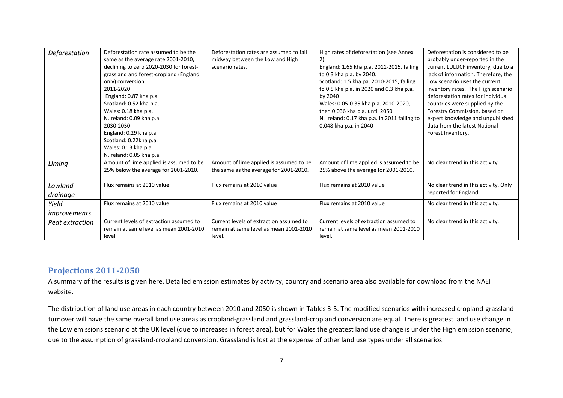| Deforestation   | Deforestation rate assumed to be the    | Deforestation rates are assumed to fall | High rates of deforestation (see Annex       | Deforestation is considered to be     |
|-----------------|-----------------------------------------|-----------------------------------------|----------------------------------------------|---------------------------------------|
|                 | same as the average rate 2001-2010,     | midway between the Low and High         | $2)$ .                                       | probably under-reported in the        |
|                 | declining to zero 2020-2030 for forest- | scenario rates.                         | England: 1.65 kha p.a. 2011-2015, falling    | current LULUCF inventory, due to a    |
|                 | grassland and forest-cropland (England  |                                         | to 0.3 kha p.a. by 2040.                     | lack of information. Therefore, the   |
|                 | only) conversion.                       |                                         | Scotland: 1.5 kha pa. 2010-2015, falling     | Low scenario uses the current         |
|                 | 2011-2020                               |                                         | to 0.5 kha p.a. in 2020 and 0.3 kha p.a.     | inventory rates. The High scenario    |
|                 | England: 0.87 kha p.a                   |                                         | by 2040                                      | deforestation rates for individual    |
|                 | Scotland: 0.52 kha p.a.                 |                                         | Wales: 0.05-0.35 kha p.a. 2010-2020,         | countries were supplied by the        |
|                 | Wales: 0.18 kha p.a.                    |                                         | then 0.036 kha p.a. until 2050               | Forestry Commission, based on         |
|                 | N.Ireland: 0.09 kha p.a.                |                                         | N. Ireland: 0.17 kha p.a. in 2011 falling to | expert knowledge and unpublished      |
|                 | 2030-2050                               |                                         | 0.048 kha p.a. in 2040                       | data from the latest National         |
|                 | England: 0.29 kha p.a                   |                                         |                                              | Forest Inventory.                     |
|                 | Scotland: 0.22kha p.a.                  |                                         |                                              |                                       |
|                 | Wales: 0.13 kha p.a.                    |                                         |                                              |                                       |
|                 | N.Ireland: 0.05 kha p.a.                |                                         |                                              |                                       |
| Liming          | Amount of lime applied is assumed to be | Amount of lime applied is assumed to be | Amount of lime applied is assumed to be      | No clear trend in this activity.      |
|                 | 25% below the average for 2001-2010.    | the same as the average for 2001-2010.  | 25% above the average for 2001-2010.         |                                       |
|                 |                                         |                                         |                                              |                                       |
| Lowland         | Flux remains at 2010 value              | Flux remains at 2010 value              | Flux remains at 2010 value                   | No clear trend in this activity. Only |
| drainage        |                                         |                                         |                                              | reported for England.                 |
| Yield           | Flux remains at 2010 value              | Flux remains at 2010 value              | Flux remains at 2010 value                   | No clear trend in this activity.      |
| improvements    |                                         |                                         |                                              |                                       |
| Peat extraction | Current levels of extraction assumed to | Current levels of extraction assumed to | Current levels of extraction assumed to      | No clear trend in this activity.      |
|                 | remain at same level as mean 2001-2010  | remain at same level as mean 2001-2010  | remain at same level as mean 2001-2010       |                                       |
|                 | level.                                  | level.                                  | level.                                       |                                       |

#### **Projections 2011-2050**

A summary of the results is given here. Detailed emission estimates by activity, country and scenario area also available for download from the NAEI website.

The distribution of land use areas in each country between 2010 and 2050 is shown in Tables 3-5. The modified scenarios with increased cropland-grassland turnover will have the same overall land use areas as cropland-grassland and grassland-cropland conversion are equal. There is greatest land use change in the Low emissions scenario at the UK level (due to increases in forest area), but for Wales the greatest land use change is under the High emission scenario, due to the assumption of grassland-cropland conversion. Grassland is lost at the expense of other land use types under all scenarios.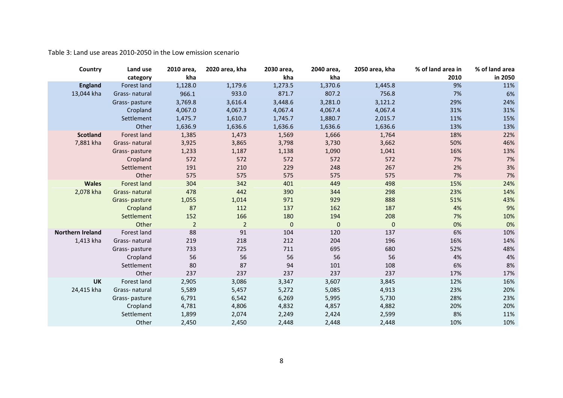Table 3: Land use areas 2010-2050 in the Low emission scenario

| Country          | Land use           | 2010 area,     | 2020 area, kha | 2030 area,       | 2040 area,  | 2050 area, kha | % of land area in | % of land area |
|------------------|--------------------|----------------|----------------|------------------|-------------|----------------|-------------------|----------------|
|                  | category           | kha            |                | kha              | kha         |                | 2010              | in 2050        |
| <b>England</b>   | Forest land        | 1,128.0        | 1,179.6        | 1,273.5          | 1,370.6     | 1,445.8        | 9%                | 11%            |
| 13,044 kha       | Grass-natural      | 966.1          | 933.0          | 871.7            | 807.2       | 756.8          | 7%                | 6%             |
|                  | Grass-pasture      | 3,769.8        | 3,616.4        | 3,448.6          | 3,281.0     | 3,121.2        | 29%               | 24%            |
|                  | Cropland           | 4,067.0        | 4,067.3        | 4,067.4          | 4,067.4     | 4,067.4        | 31%               | 31%            |
|                  | Settlement         | 1,475.7        | 1,610.7        | 1,745.7          | 1,880.7     | 2,015.7        | 11%               | 15%            |
|                  | Other              | 1,636.9        | 1,636.6        | 1,636.6          | 1,636.6     | 1,636.6        | 13%               | 13%            |
| <b>Scotland</b>  | Forest land        | 1,385          | 1,473          | 1,569            | 1,666       | 1,764          | 18%               | 22%            |
| 7,881 kha        | Grass-natural      | 3,925          | 3,865          | 3,798            | 3,730       | 3,662          | 50%               | 46%            |
|                  | Grass-pasture      | 1,233          | 1,187          | 1,138            | 1,090       | 1,041          | 16%               | 13%            |
|                  | Cropland           | 572            | 572            | 572              | 572         | 572            | 7%                | 7%             |
|                  | Settlement         | 191            | 210            | 229              | 248         | 267            | 2%                | 3%             |
|                  | Other              | 575            | 575            | 575              | 575         | 575            | 7%                | 7%             |
| <b>Wales</b>     | <b>Forest land</b> | 304            | 342            | 401              | 449         | 498            | 15%               | 24%            |
| 2,078 kha        | Grass-natural      | 478            | 442            | 390              | 344         | 298            | 23%               | 14%            |
|                  | Grass-pasture      | 1,055          | 1,014          | 971              | 929         | 888            | 51%               | 43%            |
|                  | Cropland           | 87             | 112            | 137              | 162         | 187            | 4%                | 9%             |
|                  | Settlement         | 152            | 166            | 180              | 194         | 208            | 7%                | 10%            |
|                  | Other              | $\overline{2}$ | $\overline{2}$ | $\boldsymbol{0}$ | $\mathbf 0$ | $\mathbf 0$    | 0%                | 0%             |
| Northern Ireland | Forest land        | 88             | 91             | 104              | 120         | 137            | 6%                | 10%            |
| 1,413 kha        | Grass-natural      | 219            | 218            | 212              | 204         | 196            | 16%               | 14%            |
|                  | Grass-pasture      | 733            | 725            | 711              | 695         | 680            | 52%               | 48%            |
|                  | Cropland           | 56             | 56             | 56               | 56          | 56             | 4%                | 4%             |
|                  | Settlement         | 80             | 87             | 94               | 101         | 108            | 6%                | 8%             |
|                  | Other              | 237            | 237            | 237              | 237         | 237            | 17%               | 17%            |
| <b>UK</b>        | Forest land        | 2,905          | 3,086          | 3,347            | 3,607       | 3,845          | 12%               | 16%            |
| 24,415 kha       | Grass-natural      | 5,589          | 5,457          | 5,272            | 5,085       | 4,913          | 23%               | 20%            |
|                  | Grass-pasture      | 6,791          | 6,542          | 6,269            | 5,995       | 5,730          | 28%               | 23%            |
|                  | Cropland           | 4,781          | 4,806          | 4,832            | 4,857       | 4,882          | 20%               | 20%            |
|                  | Settlement         | 1,899          | 2,074          | 2,249            | 2,424       | 2,599          | 8%                | 11%            |
|                  | Other              | 2,450          | 2,450          | 2,448            | 2,448       | 2,448          | 10%               | 10%            |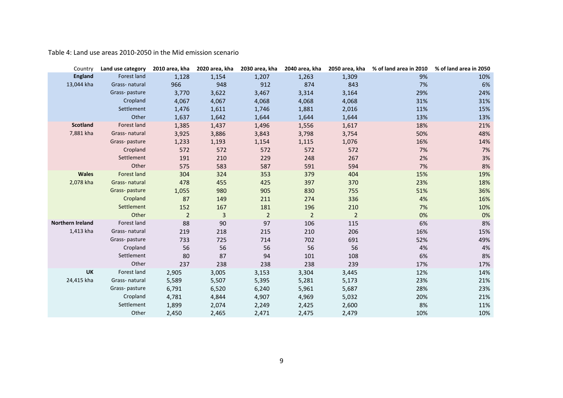Table 4: Land use areas 2010-2050 in the Mid emission scenario

| Country                 | Land use category  | 2010 area, kha | 2020 area, kha | 2030 area, kha | 2040 area, kha | 2050 area, kha | % of land area in 2010 | % of land area in 2050 |
|-------------------------|--------------------|----------------|----------------|----------------|----------------|----------------|------------------------|------------------------|
| <b>England</b>          | Forest land        | 1,128          | 1,154          | 1,207          | 1,263          | 1,309          | 9%                     | 10%                    |
| 13,044 kha              | Grass-natural      | 966            | 948            | 912            | 874            | 843            | 7%                     | 6%                     |
|                         | Grass-pasture      | 3,770          | 3,622          | 3,467          | 3,314          | 3,164          | 29%                    | 24%                    |
|                         | Cropland           | 4,067          | 4,067          | 4,068          | 4,068          | 4,068          | 31%                    | 31%                    |
|                         | Settlement         | 1,476          | 1,611          | 1,746          | 1,881          | 2,016          | 11%                    | 15%                    |
|                         | Other              | 1,637          | 1,642          | 1,644          | 1,644          | 1,644          | 13%                    | 13%                    |
| <b>Scotland</b>         | Forest land        | 1,385          | 1,437          | 1,496          | 1,556          | 1,617          | 18%                    | 21%                    |
| 7,881 kha               | Grass-natural      | 3,925          | 3,886          | 3,843          | 3,798          | 3,754          | 50%                    | 48%                    |
|                         | Grass-pasture      | 1,233          | 1,193          | 1,154          | 1,115          | 1,076          | 16%                    | 14%                    |
|                         | Cropland           | 572            | 572            | 572            | 572            | 572            | 7%                     | 7%                     |
|                         | Settlement         | 191            | 210            | 229            | 248            | 267            | 2%                     | 3%                     |
|                         | Other              | 575            | 583            | 587            | 591            | 594            | 7%                     | 8%                     |
| <b>Wales</b>            | <b>Forest land</b> | 304            | 324            | 353            | 379            | 404            | 15%                    | 19%                    |
| 2,078 kha               | Grass-natural      | 478            | 455            | 425            | 397            | 370            | 23%                    | 18%                    |
|                         | Grass-pasture      | 1,055          | 980            | 905            | 830            | 755            | 51%                    | 36%                    |
|                         | Cropland           | 87             | 149            | 211            | 274            | 336            | 4%                     | 16%                    |
|                         | Settlement         | 152            | 167            | 181            | 196            | 210            | 7%                     | 10%                    |
|                         | Other              | $\overline{2}$ | 3              | $\overline{2}$ | $\overline{2}$ | $\overline{2}$ | 0%                     | 0%                     |
| <b>Northern Ireland</b> | Forest land        | 88             | 90             | 97             | 106            | 115            | 6%                     | 8%                     |
| 1,413 kha               | Grass-natural      | 219            | 218            | 215            | 210            | 206            | 16%                    | 15%                    |
|                         | Grass-pasture      | 733            | 725            | 714            | 702            | 691            | 52%                    | 49%                    |
|                         | Cropland           | 56             | 56             | 56             | 56             | 56             | 4%                     | 4%                     |
|                         | Settlement         | 80             | 87             | 94             | 101            | 108            | 6%                     | 8%                     |
|                         | Other              | 237            | 238            | 238            | 238            | 239            | 17%                    | 17%                    |
| <b>UK</b>               | Forest land        | 2,905          | 3,005          | 3,153          | 3,304          | 3,445          | 12%                    | 14%                    |
| 24,415 kha              | Grass-natural      | 5,589          | 5,507          | 5,395          | 5,281          | 5,173          | 23%                    | 21%                    |
|                         | Grass-pasture      | 6,791          | 6,520          | 6,240          | 5,961          | 5,687          | 28%                    | 23%                    |
|                         | Cropland           | 4,781          | 4,844          | 4,907          | 4,969          | 5,032          | 20%                    | 21%                    |
|                         | Settlement         | 1,899          | 2,074          | 2,249          | 2,425          | 2,600          | 8%                     | 11%                    |
|                         | Other              | 2,450          | 2,465          | 2,471          | 2,475          | 2,479          | 10%                    | 10%                    |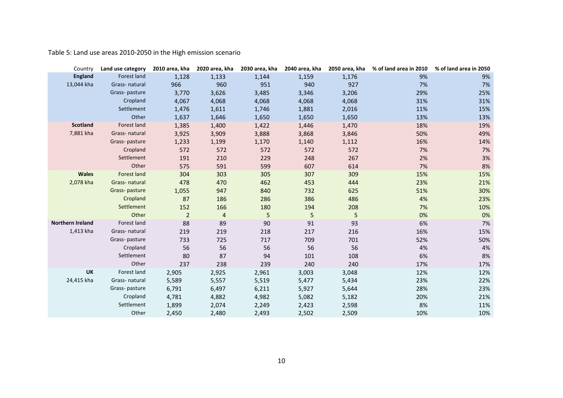Table 5: Land use areas 2010-2050 in the High emission scenario

| Country                 | Land use category  | 2010 area, kha | 2020 area, kha | 2030 area, kha | 2040 area, kha | 2050 area, kha | % of land area in 2010 | % of land area in 2050 |
|-------------------------|--------------------|----------------|----------------|----------------|----------------|----------------|------------------------|------------------------|
| <b>England</b>          | Forest land        | 1,128          | 1,133          | 1,144          | 1,159          | 1,176          | 9%                     | 9%                     |
| 13,044 kha              | Grass-natural      | 966            | 960            | 951            | 940            | 927            | 7%                     | 7%                     |
|                         | Grass-pasture      | 3,770          | 3,626          | 3,485          | 3,346          | 3,206          | 29%                    | 25%                    |
|                         | Cropland           | 4,067          | 4,068          | 4,068          | 4,068          | 4,068          | 31%                    | 31%                    |
|                         | Settlement         | 1,476          | 1,611          | 1,746          | 1,881          | 2,016          | 11%                    | 15%                    |
|                         | Other              | 1,637          | 1,646          | 1,650          | 1,650          | 1,650          | 13%                    | 13%                    |
| <b>Scotland</b>         | Forest land        | 1,385          | 1,400          | 1,422          | 1,446          | 1,470          | 18%                    | 19%                    |
| 7,881 kha               | Grass-natural      | 3,925          | 3,909          | 3,888          | 3,868          | 3,846          | 50%                    | 49%                    |
|                         | Grass-pasture      | 1,233          | 1,199          | 1,170          | 1,140          | 1,112          | 16%                    | 14%                    |
|                         | Cropland           | 572            | 572            | 572            | 572            | 572            | 7%                     | 7%                     |
|                         | Settlement         | 191            | 210            | 229            | 248            | 267            | 2%                     | 3%                     |
|                         | Other              | 575            | 591            | 599            | 607            | 614            | 7%                     | 8%                     |
| <b>Wales</b>            | <b>Forest land</b> | 304            | 303            | 305            | 307            | 309            | 15%                    | 15%                    |
| 2,078 kha               | Grass-natural      | 478            | 470            | 462            | 453            | 444            | 23%                    | 21%                    |
|                         | Grass-pasture      | 1,055          | 947            | 840            | 732            | 625            | 51%                    | 30%                    |
|                         | Cropland           | 87             | 186            | 286            | 386            | 486            | 4%                     | 23%                    |
|                         | Settlement         | 152            | 166            | 180            | 194            | 208            | 7%                     | 10%                    |
|                         | Other              | $\overline{2}$ | 4              | 5              | 5              | 5              | 0%                     | 0%                     |
| <b>Northern Ireland</b> | Forest land        | 88             | 89             | 90             | 91             | 93             | 6%                     | 7%                     |
| 1,413 kha               | Grass-natural      | 219            | 219            | 218            | 217            | 216            | 16%                    | 15%                    |
|                         | Grass-pasture      | 733            | 725            | 717            | 709            | 701            | 52%                    | 50%                    |
|                         | Cropland           | 56             | 56             | 56             | 56             | 56             | 4%                     | 4%                     |
|                         | Settlement         | 80             | 87             | 94             | 101            | 108            | 6%                     | 8%                     |
|                         | Other              | 237            | 238            | 239            | 240            | 240            | 17%                    | 17%                    |
| <b>UK</b>               | Forest land        | 2,905          | 2,925          | 2,961          | 3,003          | 3,048          | 12%                    | 12%                    |
| 24,415 kha              | Grass-natural      | 5,589          | 5,557          | 5,519          | 5,477          | 5,434          | 23%                    | 22%                    |
|                         | Grass-pasture      | 6,791          | 6,497          | 6,211          | 5,927          | 5,644          | 28%                    | 23%                    |
|                         | Cropland           | 4,781          | 4,882          | 4,982          | 5,082          | 5,182          | 20%                    | 21%                    |
|                         | Settlement         | 1,899          | 2,074          | 2,249          | 2,423          | 2,598          | 8%                     | 11%                    |
|                         | Other              | 2,450          | 2,480          | 2,493          | 2,502          | 2,509          | 10%                    | 10%                    |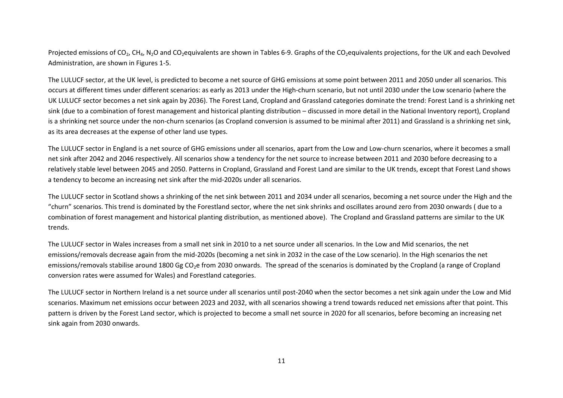Projected emissions of CO<sub>2</sub>, CH<sub>4</sub>, N<sub>2</sub>O and CO<sub>2</sub>equivalents are shown in Tables 6-9. Graphs of the CO<sub>2</sub>equivalents projections, for the UK and each Devolved Administration, are shown in Figures 1-5.

The LULUCF sector, at the UK level, is predicted to become a net source of GHG emissions at some point between 2011 and 2050 under all scenarios. This occurs at different times under different scenarios: as early as 2013 under the High-churn scenario, but not until 2030 under the Low scenario (where the UK LULUCF sector becomes a net sink again by 2036). The Forest Land, Cropland and Grassland categories dominate the trend: Forest Land is a shrinking net sink (due to a combination of forest management and historical planting distribution – discussed in more detail in the National Inventory report), Cropland is a shrinking net source under the non-churn scenarios (as Cropland conversion is assumed to be minimal after 2011) and Grassland is a shrinking net sink, as its area decreases at the expense of other land use types.

The LULUCF sector in England is a net source of GHG emissions under all scenarios, apart from the Low and Low-churn scenarios, where it becomes a small net sink after 2042 and 2046 respectively. All scenarios show a tendency for the net source to increase between 2011 and 2030 before decreasing to a relatively stable level between 2045 and 2050. Patterns in Cropland, Grassland and Forest Land are similar to the UK trends, except that Forest Land shows a tendency to become an increasing net sink after the mid-2020s under all scenarios.

The LULUCF sector in Scotland shows a shrinking of the net sink between 2011 and 2034 under all scenarios, becoming a net source under the High and the "churn" scenarios. This trend is dominated by the Forestland sector, where the net sink shrinks and oscillates around zero from 2030 onwards ( due to a combination of forest management and historical planting distribution, as mentioned above). The Cropland and Grassland patterns are similar to the UK trends.

The LULUCF sector in Wales increases from a small net sink in 2010 to a net source under all scenarios. In the Low and Mid scenarios, the net emissions/removals decrease again from the mid-2020s (becoming a net sink in 2032 in the case of the Low scenario). In the High scenarios the net emissions/removals stabilise around 1800 Gg CO2e from 2030 onwards. The spread of the scenarios is dominated by the Cropland (a range of Cropland conversion rates were assumed for Wales) and Forestland categories.

The LULUCF sector in Northern Ireland is a net source under all scenarios until post-2040 when the sector becomes a net sink again under the Low and Mid scenarios. Maximum net emissions occur between 2023 and 2032, with all scenarios showing a trend towards reduced net emissions after that point. This pattern is driven by the Forest Land sector, which is projected to become a small net source in 2020 for all scenarios, before becoming an increasing net sink again from 2030 onwards.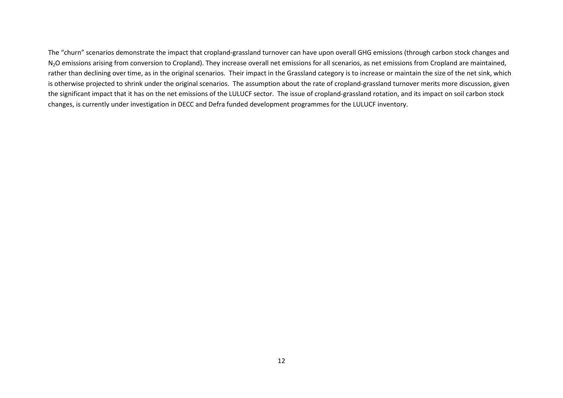The "churn" scenarios demonstrate the impact that cropland-grassland turnover can have upon overall GHG emissions (through carbon stock changes and N<sub>2</sub>O emissions arising from conversion to Cropland). They increase overall net emissions for all scenarios, as net emissions from Cropland are maintained, rather than declining over time, as in the original scenarios. Their impact in the Grassland category is to increase or maintain the size of the net sink, which is otherwise projected to shrink under the original scenarios. The assumption about the rate of cropland-grassland turnover merits more discussion, given the significant impact that it has on the net emissions of the LULUCF sector. The issue of cropland-grassland rotation, and its impact on soil carbon stock changes, is currently under investigation in DECC and Defra funded development programmes for the LULUCF inventory.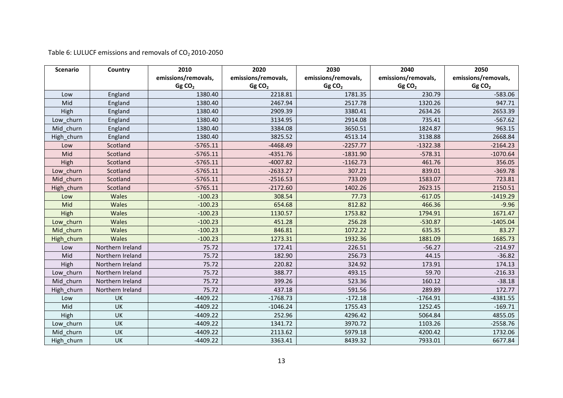| Table 6: LULUCF emissions and removals of $CO2$ 2010-2050 |  |  |
|-----------------------------------------------------------|--|--|
|-----------------------------------------------------------|--|--|

| <b>Scenario</b> | Country          | 2010                | 2020                | 2030                | 2040                | 2050                |
|-----------------|------------------|---------------------|---------------------|---------------------|---------------------|---------------------|
|                 |                  | emissions/removals, | emissions/removals, | emissions/removals, | emissions/removals, | emissions/removals, |
|                 |                  | GgCO <sub>2</sub>   | GgCO <sub>2</sub>   | GgCO <sub>2</sub>   | GgCO <sub>2</sub>   | GgCO <sub>2</sub>   |
| Low             | England          | 1380.40             | 2218.81             | 1781.35             | 230.79              | $-583.06$           |
| Mid             | England          | 1380.40             | 2467.94             | 2517.78             | 1320.26             | 947.71              |
| High            | England          | 1380.40             | 2909.39             | 3380.41             | 2634.26             | 2653.39             |
| Low churn       | England          | 1380.40             | 3134.95             | 2914.08             | 735.41              | $-567.62$           |
| Mid churn       | England          | 1380.40             | 3384.08             | 3650.51             | 1824.87             | 963.15              |
| High churn      | England          | 1380.40             | 3825.52             | 4513.14             | 3138.88             | 2668.84             |
| Low             | Scotland         | $-5765.11$          | $-4468.49$          | $-2257.77$          | $-1322.38$          | $-2164.23$          |
| Mid             | Scotland         | $-5765.11$          | $-4351.76$          | $-1831.90$          | $-578.31$           | $-1070.64$          |
| High            | Scotland         | $-5765.11$          | $-4007.82$          | $-1162.73$          | 461.76              | 356.05              |
| Low churn       | Scotland         | $-5765.11$          | $-2633.27$          | 307.21              | 839.01              | $-369.78$           |
| Mid churn       | Scotland         | $-5765.11$          | $-2516.53$          | 733.09              | 1583.07             | 723.81              |
| High_churn      | Scotland         | $-5765.11$          | $-2172.60$          | 1402.26             | 2623.15             | 2150.51             |
| Low             | Wales            | $-100.23$           | 308.54              | 77.73               | $-617.05$           | $-1419.29$          |
| Mid             | Wales            | $-100.23$           | 654.68              | 812.82              | 466.36              | $-9.96$             |
| High            | Wales            | $-100.23$           | 1130.57             | 1753.82             | 1794.91             | 1671.47             |
| Low_churn       | Wales            | $-100.23$           | 451.28              | 256.28              | $-530.87$           | $-1405.04$          |
| Mid churn       | Wales            | $-100.23$           | 846.81              | 1072.22             | 635.35              | 83.27               |
| High_churn      | Wales            | $-100.23$           | 1273.31             | 1932.36             | 1881.09             | 1685.73             |
| Low             | Northern Ireland | 75.72               | 172.41              | 226.51              | $-56.27$            | $-214.97$           |
| Mid             | Northern Ireland | 75.72               | 182.90              | 256.73              | 44.15               | $-36.82$            |
| High            | Northern Ireland | 75.72               | 220.82              | 324.92              | 173.91              | 174.13              |
| Low_churn       | Northern Ireland | 75.72               | 388.77              | 493.15              | 59.70               | $-216.33$           |
| Mid churn       | Northern Ireland | 75.72               | 399.26              | 523.36              | 160.12              | $-38.18$            |
| High_churn      | Northern Ireland | 75.72               | 437.18              | 591.56              | 289.89              | 172.77              |
| Low             | UK               | $-4409.22$          | $-1768.73$          | $-172.18$           | $-1764.91$          | $-4381.55$          |
| Mid             | UK               | $-4409.22$          | $-1046.24$          | 1755.43             | 1252.45             | $-169.71$           |
| High            | UK               | -4409.22            | 252.96              | 4296.42             | 5064.84             | 4855.05             |
| Low_churn       | UK               | $-4409.22$          | 1341.72             | 3970.72             | 1103.26             | $-2558.76$          |
| Mid churn       | UK               | $-4409.22$          | 2113.62             | 5979.18             | 4200.42             | 1732.06             |
| High churn      | UK               | $-4409.22$          | 3363.41             | 8439.32             | 7933.01             | 6677.84             |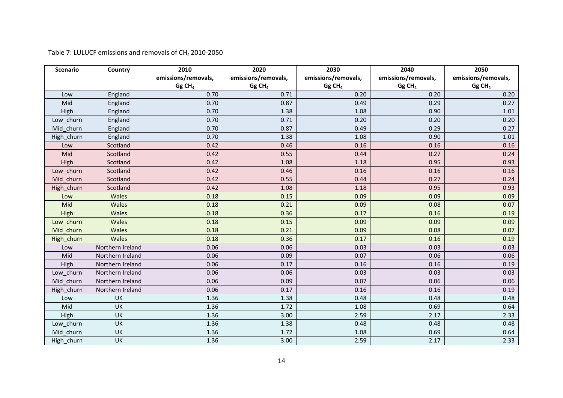Table 7: LULUCF emissions and removals of CH<sub>4</sub> 2010-2050

| <b>Scenario</b> | Country                 | 2010                | 2020                | 2030                 | 2040                | 2050                 |
|-----------------|-------------------------|---------------------|---------------------|----------------------|---------------------|----------------------|
|                 |                         | emissions/removals, | emissions/removals, | emissions/removals,  | emissions/removals, | emissions/removals,  |
|                 |                         | Gg CH <sub>4</sub>  | Gg CH <sub>4</sub>  | $Gg$ CH <sub>4</sub> | Gg CH <sub>4</sub>  | $Gg$ CH <sub>4</sub> |
| Low             | England                 | 0.70                | 0.71                | 0.20                 | 0.20                | 0.20                 |
| Mid             | England                 | 0.70                | 0.87                | 0.49                 | 0.29                | 0.27                 |
| High            | England                 | 0.70                | 1.38                | 1.08                 | 0.90                | 1.01                 |
| Low_churn       | England                 | 0.70                | 0.71                | 0.20                 | 0.20                | 0.20                 |
| Mid churn       | England                 | 0.70                | 0.87                | 0.49                 | 0.29                | 0.27                 |
| High churn      | England                 | 0.70                | 1.38                | 1.08                 | 0.90                | 1.01                 |
| Low             | Scotland                | 0.42                | 0.46                | 0.16                 | 0.16                | 0.16                 |
| Mid             | Scotland                | 0.42                | 0.55                | 0.44                 | 0.27                | 0.24                 |
| High            | Scotland                | 0.42                | 1.08                | 1.18                 | 0.95                | 0.93                 |
| Low churn       | Scotland                | 0.42                | 0.46                | 0.16                 | 0.16                | 0.16                 |
| Mid churn       | Scotland                | 0.42                | 0.55                | 0.44                 | 0.27                | 0.24                 |
| High_churn      | Scotland                | 0.42                | 1.08                | 1.18                 | 0.95                | 0.93                 |
| Low             | Wales                   | 0.18                | 0.15                | 0.09                 | 0.09                | 0.09                 |
| Mid             | Wales                   | 0.18                | 0.21                | 0.09                 | 0.08                | 0.07                 |
| High            | Wales                   | 0.18                | 0.36                | 0.17                 | 0.16                | 0.19                 |
| Low churn       | Wales                   | 0.18                | 0.15                | 0.09                 | 0.09                | 0.09                 |
| Mid churn       | Wales                   | 0.18                | 0.21                | 0.09                 | 0.08                | 0.07                 |
| High_churn      | Wales                   | 0.18                | 0.36                | 0.17                 | 0.16                | 0.19                 |
| Low             | Northern Ireland        | 0.06                | 0.06                | 0.03                 | 0.03                | 0.03                 |
| Mid             | Northern Ireland        | 0.06                | 0.09                | 0.07                 | 0.06                | 0.06                 |
| High            | Northern Ireland        | 0.06                | 0.17                | 0.16                 | 0.16                | 0.19                 |
| Low churn       | Northern Ireland        | 0.06                | 0.06                | 0.03                 | 0.03                | 0.03                 |
| Mid churn       | Northern Ireland        | 0.06                | 0.09                | 0.07                 | 0.06                | 0.06                 |
| High_churn      | Northern Ireland        | 0.06                | 0.17                | 0.16                 | 0.16                | 0.19                 |
| Low             | UK                      | 1.36                | 1.38                | 0.48                 | 0.48                | 0.48                 |
| Mid             | UK                      | 1.36                | 1.72                | 1.08                 | 0.69                | 0.64                 |
| High            | UK                      | 1.36                | 3.00                | 2.59                 | 2.17                | 2.33                 |
| Low churn       | UK                      | 1.36                | 1.38                | 0.48                 | 0.48                | 0.48                 |
| Mid churn       | $\overline{\mathsf{U}}$ | 1.36                | 1.72                | 1.08                 | 0.69                | 0.64                 |
| High_churn      | UK                      | 1.36                | 3.00                | 2.59                 | 2.17                | 2.33                 |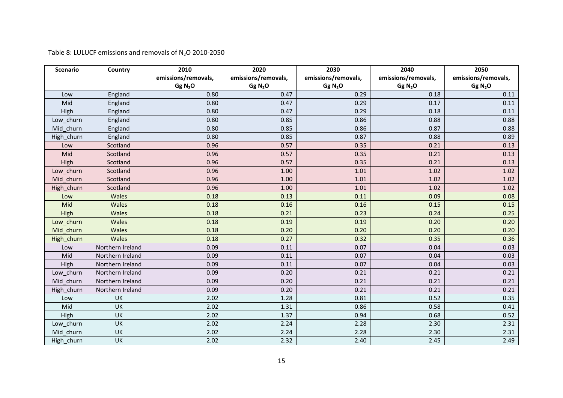Table 8: LULUCF emissions and removals of  $N_2$ O 2010-2050

| <b>Scenario</b> | Country          | 2010                | 2020                | 2030                | 2040                | 2050                |
|-----------------|------------------|---------------------|---------------------|---------------------|---------------------|---------------------|
|                 |                  | emissions/removals, | emissions/removals, | emissions/removals, | emissions/removals, | emissions/removals, |
|                 |                  | Gg N <sub>2</sub> O | Gg N <sub>2</sub> O | Gg N <sub>2</sub> O | Gg N <sub>2</sub> O | Gg N <sub>2</sub> O |
| Low             | England          | 0.80                | 0.47                | 0.29                | 0.18                | 0.11                |
| Mid             | England          | 0.80                | 0.47                | 0.29                | 0.17                | 0.11                |
| High            | England          | 0.80                | 0.47                | 0.29                | 0.18                | 0.11                |
| Low churn       | England          | 0.80                | 0.85                | 0.86                | 0.88                | 0.88                |
| Mid churn       | England          | 0.80                | 0.85                | 0.86                | 0.87                | 0.88                |
| High churn      | England          | 0.80                | 0.85                | 0.87                | 0.88                | 0.89                |
| Low             | Scotland         | 0.96                | 0.57                | 0.35                | 0.21                | 0.13                |
| Mid             | Scotland         | 0.96                | 0.57                | 0.35                | 0.21                | 0.13                |
| High            | Scotland         | 0.96                | 0.57                | 0.35                | 0.21                | 0.13                |
| Low churn       | Scotland         | 0.96                | 1.00                | 1.01                | 1.02                | 1.02                |
| Mid churn       | Scotland         | 0.96                | 1.00                | 1.01                | 1.02                | 1.02                |
| High_churn      | Scotland         | 0.96                | 1.00                | 1.01                | 1.02                | 1.02                |
| Low             | <b>Wales</b>     | 0.18                | 0.13                | 0.11                | 0.09                | 0.08                |
| Mid             | Wales            | 0.18                | 0.16                | 0.16                | 0.15                | 0.15                |
| High            | Wales            | 0.18                | 0.21                | 0.23                | 0.24                | 0.25                |
| Low churn       | Wales            | 0.18                | 0.19                | 0.19                | 0.20                | 0.20                |
| Mid churn       | Wales            | 0.18                | 0.20                | 0.20                | 0.20                | 0.20                |
| High_churn      | Wales            | 0.18                | 0.27                | 0.32                | 0.35                | 0.36                |
| Low             | Northern Ireland | 0.09                | 0.11                | 0.07                | 0.04                | 0.03                |
| Mid             | Northern Ireland | 0.09                | 0.11                | 0.07                | 0.04                | 0.03                |
| High            | Northern Ireland | 0.09                | 0.11                | 0.07                | 0.04                | 0.03                |
| Low churn       | Northern Ireland | 0.09                | 0.20                | 0.21                | 0.21                | 0.21                |
| Mid churn       | Northern Ireland | 0.09                | 0.20                | 0.21                | 0.21                | 0.21                |
| High_churn      | Northern Ireland | 0.09                | 0.20                | 0.21                | 0.21                | 0.21                |
| Low             | UK               | 2.02                | 1.28                | 0.81                | 0.52                | 0.35                |
| Mid             | UK               | 2.02                | 1.31                | 0.86                | 0.58                | 0.41                |
| High            | UK               | 2.02                | 1.37                | 0.94                | 0.68                | 0.52                |
| Low churn       | UK               | 2.02                | 2.24                | 2.28                | 2.30                | 2.31                |
| Mid churn       | UK               | 2.02                | 2.24                | 2.28                | 2.30                | 2.31                |
| High churn      | UK               | 2.02                | 2.32                | 2.40                | 2.45                | 2.49                |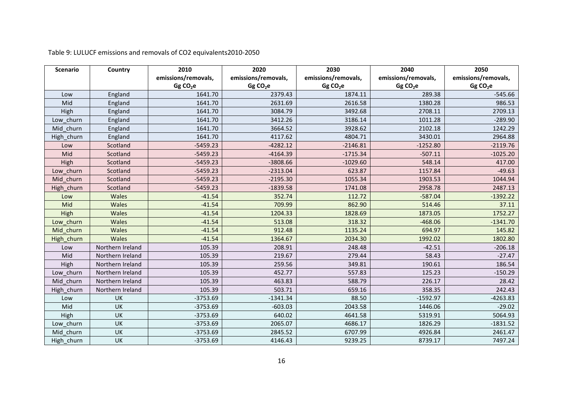| <b>Scenario</b> | Country          | 2010                 | 2020                 | 2030                 | 2040                | 2050                 |
|-----------------|------------------|----------------------|----------------------|----------------------|---------------------|----------------------|
|                 |                  | emissions/removals,  | emissions/removals,  | emissions/removals,  | emissions/removals, | emissions/removals,  |
|                 |                  | Gg CO <sub>2</sub> e | Gg CO <sub>2</sub> e | Gg CO <sub>2</sub> e | GgCO <sub>2</sub> e | Gg CO <sub>2</sub> e |
| Low             | England          | 1641.70              | 2379.43              | 1874.11              | 289.38              | $-545.66$            |
| Mid             | England          | 1641.70              | 2631.69              | 2616.58              | 1380.28             | 986.53               |
| High            | England          | 1641.70              | 3084.79              | 3492.68              | 2708.11             | 2709.13              |
| Low churn       | England          | 1641.70              | 3412.26              | 3186.14              | 1011.28             | $-289.90$            |
| Mid churn       | England          | 1641.70              | 3664.52              | 3928.62              | 2102.18             | 1242.29              |
| High_churn      | England          | 1641.70              | 4117.62              | 4804.71              | 3430.01             | 2964.88              |
| Low             | Scotland         | $-5459.23$           | $-4282.12$           | $-2146.81$           | $-1252.80$          | $-2119.76$           |
| Mid             | Scotland         | $-5459.23$           | $-4164.39$           | $-1715.34$           | $-507.11$           | $-1025.20$           |
| High            | Scotland         | $-5459.23$           | $-3808.66$           | $-1029.60$           | 548.14              | 417.00               |
| Low churn       | Scotland         | $-5459.23$           | $-2313.04$           | 623.87               | 1157.84             | $-49.63$             |
| Mid churn       | Scotland         | $-5459.23$           | $-2195.30$           | 1055.34              | 1903.53             | 1044.94              |
| High churn      | Scotland         | $-5459.23$           | $-1839.58$           | 1741.08              | 2958.78             | 2487.13              |
| Low             | Wales            | $-41.54$             | 352.74               | 112.72               | $-587.04$           | $-1392.22$           |
| Mid             | Wales            | $-41.54$             | 709.99               | 862.90               | 514.46              | 37.11                |
| High            | Wales            | $-41.54$             | 1204.33              | 1828.69              | 1873.05             | 1752.27              |
| Low churn       | Wales            | $-41.54$             | 513.08               | 318.32               | $-468.06$           | $-1341.70$           |
| Mid churn       | Wales            | $-41.54$             | 912.48               | 1135.24              | 694.97              | 145.82               |
| High_churn      | Wales            | $-41.54$             | 1364.67              | 2034.30              | 1992.02             | 1802.80              |
| Low             | Northern Ireland | 105.39               | 208.91               | 248.48               | $-42.51$            | $-206.18$            |
| Mid             | Northern Ireland | 105.39               | 219.67               | 279.44               | 58.43               | $-27.47$             |
| High            | Northern Ireland | 105.39               | 259.56               | 349.81               | 190.61              | 186.54               |
| Low churn       | Northern Ireland | 105.39               | 452.77               | 557.83               | 125.23              | $-150.29$            |
| Mid churn       | Northern Ireland | 105.39               | 463.83               | 588.79               | 226.17              | 28.42                |
| High_churn      | Northern Ireland | 105.39               | 503.71               | 659.16               | 358.35              | 242.43               |
| Low             | UK               | $-3753.69$           | $-1341.34$           | 88.50                | $-1592.97$          | $-4263.83$           |
| Mid             | UK               | $-3753.69$           | $-603.03$            | 2043.58              | 1446.06             | $-29.02$             |
| High            | UK               | $-3753.69$           | 640.02               | 4641.58              | 5319.91             | 5064.93              |
| Low churn       | UK               | $-3753.69$           | 2065.07              | 4686.17              | 1826.29             | $-1831.52$           |
| Mid churn       | UK               | $-3753.69$           | 2845.52              | 6707.99              | 4926.84             | 2461.47              |
| High churn      | UK               | $-3753.69$           | 4146.43              | 9239.25              | 8739.17             | 7497.24              |

Table 9: LULUCF emissions and removals of CO2 equivalents2010-2050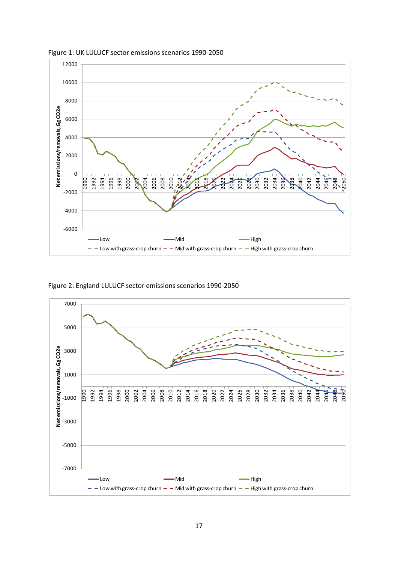

Figure 1: UK LULUCF sector emissions scenarios 1990-2050

Figure 2: England LULUCF sector emissions scenarios 1990-2050

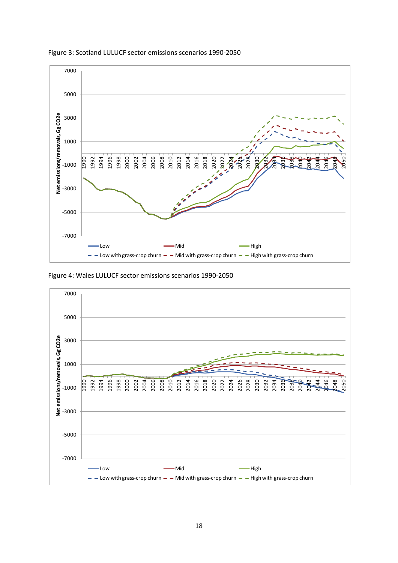

Figure 3: Scotland LULUCF sector emissions scenarios 1990-2050

Figure 4: Wales LULUCF sector emissions scenarios 1990-2050

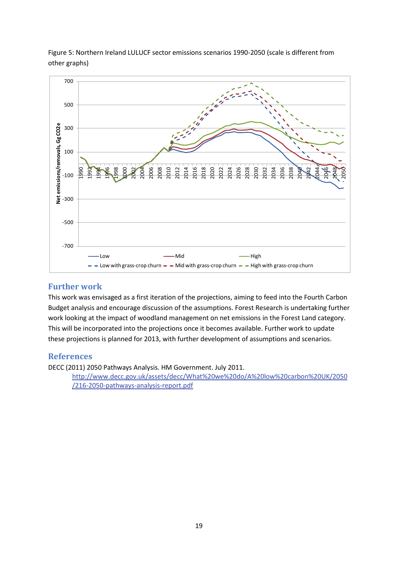

Figure 5: Northern Ireland LULUCF sector emissions scenarios 1990-2050 (scale is different from other graphs)

#### **Further work**

This work was envisaged as a first iteration of the projections, aiming to feed into the Fourth Carbon Budget analysis and encourage discussion of the assumptions. Forest Research is undertaking further work looking at the impact of woodland management on net emissions in the Forest Land category. This will be incorporated into the projections once it becomes available. Further work to update these projections is planned for 2013, with further development of assumptions and scenarios.

#### **References**

DECC (2011) 2050 Pathways Analysis. HM Government. July 2011.

[http://www.decc.gov.uk/assets/decc/What%20we%20do/A%20low%20carbon%20UK/2050](http://www.decc.gov.uk/assets/decc/What%20we%20do/A%20low%20carbon%20UK/2050/216-2050-pathways-analysis-report.pdf) [/216-2050-pathways-analysis-report.pdf](http://www.decc.gov.uk/assets/decc/What%20we%20do/A%20low%20carbon%20UK/2050/216-2050-pathways-analysis-report.pdf)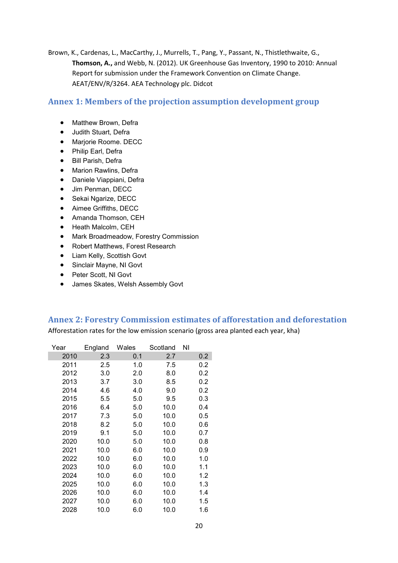Brown, K., Cardenas, L., MacCarthy, J., Murrells, T., Pang, Y., Passant, N., Thistlethwaite, G., **Thomson, A.,** and Webb, N. (2012). UK Greenhouse Gas Inventory, 1990 to 2010: Annual Report for submission under the Framework Convention on Climate Change. AEAT/ENV/R/3264. AEA Technology plc. Didcot

#### **Annex 1: Members of the projection assumption development group**

- Matthew Brown, Defra
- Judith Stuart, Defra
- Marjorie Roome. DECC
- Philip Earl, Defra
- Bill Parish, Defra
- Marion Rawlins, Defra
- Daniele Viappiani, Defra
- Jim Penman, DECC
- Sekai Ngarize, DECC
- Aimee Griffiths, DECC
- Amanda Thomson, CEH
- Heath Malcolm, CEH
- Mark Broadmeadow, Forestry Commission
- Robert Matthews, Forest Research
- Liam Kelly, Scottish Govt
- Sinclair Mayne, NI Govt
- Peter Scott, NI Govt
- James Skates, Welsh Assembly Govt

#### **Annex 2: Forestry Commission estimates of afforestation and deforestation**

Afforestation rates for the low emission scenario (gross area planted each year, kha)

| Year | England | Wales | Scotland | ΝI  |
|------|---------|-------|----------|-----|
| 2010 | 2.3     | 0.1   | 2.7      | 0.2 |
| 2011 | 2.5     | 1.0   | 7.5      | 0.2 |
| 2012 | 3.0     | 2.0   | 8.0      | 0.2 |
| 2013 | 3.7     | 3.0   | 8.5      | 0.2 |
| 2014 | 4.6     | 4.0   | 9.0      | 0.2 |
| 2015 | 5.5     | 5.0   | 9.5      | 0.3 |
| 2016 | 6.4     | 5.0   | 10.0     | 0.4 |
| 2017 | 7.3     | 5.0   | 10.0     | 0.5 |
| 2018 | 8.2     | 5.0   | 10.0     | 0.6 |
| 2019 | 9.1     | 5.0   | 10.0     | 0.7 |
| 2020 | 10.0    | 5.0   | 10.0     | 0.8 |
| 2021 | 10.0    | 6.0   | 10.0     | 0.9 |
| 2022 | 10.0    | 6.0   | 10.0     | 1.0 |
| 2023 | 10.0    | 6.0   | 10.0     | 1.1 |
| 2024 | 10.0    | 6.0   | 10.0     | 1.2 |
| 2025 | 10.0    | 6.0   | 10.0     | 1.3 |
| 2026 | 10.0    | 6.0   | 10.0     | 1.4 |
| 2027 | 10.0    | 6.0   | 10.0     | 1.5 |
| 2028 | 10.0    | 6.0   | 10.0     | 1.6 |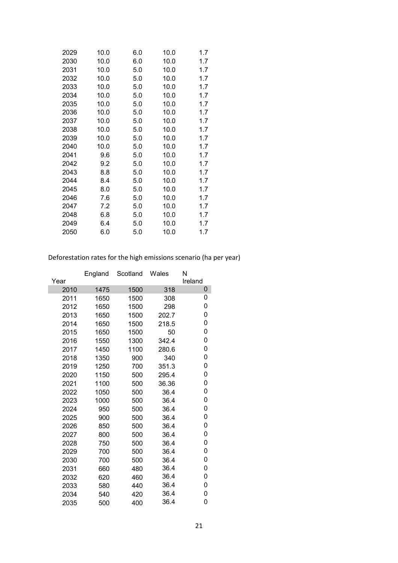| 2029 | 10.0 | 6.0 | 10.0 | 1.7 |
|------|------|-----|------|-----|
| 2030 | 10.0 | 6.0 | 10.0 | 1.7 |
| 2031 | 10.0 | 5.0 | 10.0 | 1.7 |
| 2032 | 10.0 | 5.0 | 10.0 | 1.7 |
| 2033 | 10.0 | 5.0 | 10.0 | 1.7 |
| 2034 | 10.0 | 5.0 | 10.0 | 1.7 |
| 2035 | 10.0 | 5.0 | 10.0 | 1.7 |
| 2036 | 10.0 | 5.0 | 10.0 | 1.7 |
| 2037 | 10.0 | 5.0 | 10.0 | 1.7 |
| 2038 | 10.0 | 5.0 | 10.0 | 1.7 |
| 2039 | 10.0 | 5.0 | 10.0 | 1.7 |
| 2040 | 10.0 | 5.0 | 10.0 | 1.7 |
| 2041 | 9.6  | 5.0 | 10.0 | 1.7 |
| 2042 | 9.2  | 5.0 | 10.0 | 1.7 |
| 2043 | 8.8  | 5.0 | 10.0 | 1.7 |
| 2044 | 8.4  | 5.0 | 10.0 | 1.7 |
| 2045 | 8.0  | 5.0 | 10.0 | 1.7 |
| 2046 | 7.6  | 5.0 | 10.0 | 1.7 |
| 2047 | 7.2  | 5.0 | 10.0 | 1.7 |
| 2048 | 6.8  | 5.0 | 10.0 | 1.7 |
| 2049 | 6.4  | 5.0 | 10.0 | 1.7 |
| 2050 | 6.0  | 5.0 | 10.0 | 1.7 |

Deforestation rates for the high emissions scenario (ha per year)

|      | England | Scotland | Wales | N       |
|------|---------|----------|-------|---------|
| Year |         |          |       | Ireland |
| 2010 | 1475    | 1500     | 318   | 0       |
| 2011 | 1650    | 1500     | 308   | 0       |
| 2012 | 1650    | 1500     | 298   | 0       |
| 2013 | 1650    | 1500     | 202.7 | 0       |
| 2014 | 1650    | 1500     | 218.5 | 0       |
| 2015 | 1650    | 1500     | 50    | 0       |
| 2016 | 1550    | 1300     | 342.4 | 0       |
| 2017 | 1450    | 1100     | 280.6 | 0       |
| 2018 | 1350    | 900      | 340   | 0       |
| 2019 | 1250    | 700      | 351.3 | 0       |
| 2020 | 1150    | 500      | 295.4 | 0       |
| 2021 | 1100    | 500      | 36.36 | 0       |
| 2022 | 1050    | 500      | 36.4  | 0       |
| 2023 | 1000    | 500      | 36.4  | 0       |
| 2024 | 950     | 500      | 36.4  | 0       |
| 2025 | 900     | 500      | 36.4  | 0       |
| 2026 | 850     | 500      | 36.4  | 0       |
| 2027 | 800     | 500      | 36.4  | 0       |
| 2028 | 750     | 500      | 36.4  | 0       |
| 2029 | 700     | 500      | 36.4  | 0       |
| 2030 | 700     | 500      | 36.4  | 0       |
| 2031 | 660     | 480      | 36.4  | 0       |
| 2032 | 620     | 460      | 36.4  | 0       |
| 2033 | 580     | 440      | 36.4  | 0       |
| 2034 | 540     | 420      | 36.4  | 0       |
| 2035 | 500     | 400      | 36.4  | 0       |